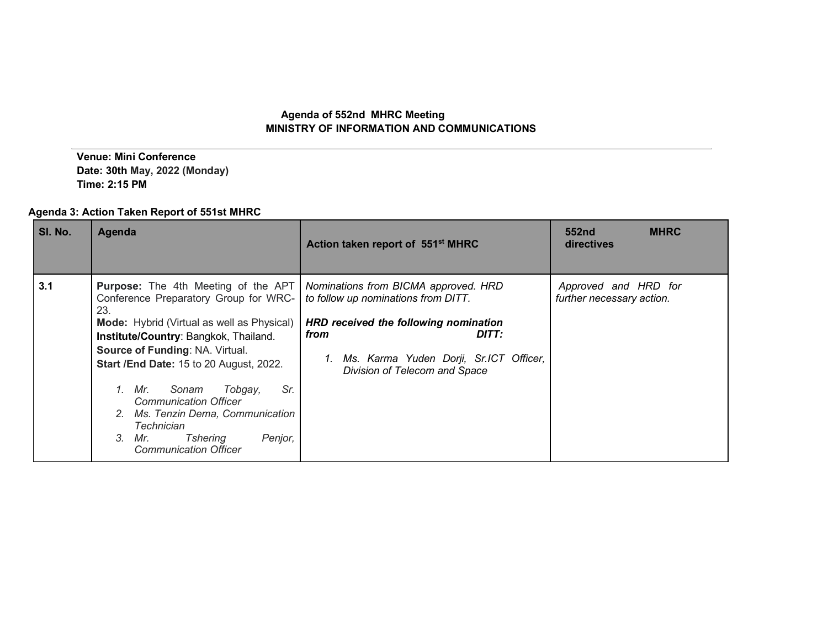## **Agenda of 552nd MHRC Meeting MINISTRY OF INFORMATION AND COMMUNICATIONS**

 **Venue: Mini Conference Date: 30th May, 2022 (Monday) Time: 2:15 PM**

## **Agenda 3: Action Taken Report of 551st MHRC**

| SI. No. | Agenda                                                                                                                                                                                                                                                                                                                                                                                                               | Action taken report of 551 <sup>st</sup> MHRC                                                                                                                                                                                                                    | 552nd<br><b>MHRC</b><br>directives                |
|---------|----------------------------------------------------------------------------------------------------------------------------------------------------------------------------------------------------------------------------------------------------------------------------------------------------------------------------------------------------------------------------------------------------------------------|------------------------------------------------------------------------------------------------------------------------------------------------------------------------------------------------------------------------------------------------------------------|---------------------------------------------------|
| 3.1     | Conference Preparatory Group for WRC-<br>23.<br>Mode: Hybrid (Virtual as well as Physical)<br>Institute/Country: Bangkok, Thailand.<br>Source of Funding: NA. Virtual.<br><b>Start /End Date: 15 to 20 August, 2022.</b><br>1. Mr.<br>Sr.<br>Sonam<br>Tobgay,<br><b>Communication Officer</b><br>2. Ms. Tenzin Dema, Communication<br>Technician<br>3.<br>Tshering<br>Mr.<br>Penjor,<br><b>Communication Officer</b> | <b>Purpose:</b> The 4th Meeting of the APT   Nominations from BICMA approved. HRD<br>to follow up nominations from DITT.<br>HRD received the following nomination<br>from<br>DITT:<br>1. Ms. Karma Yuden Dorji, Sr.ICT Officer,<br>Division of Telecom and Space | Approved and HRD for<br>further necessary action. |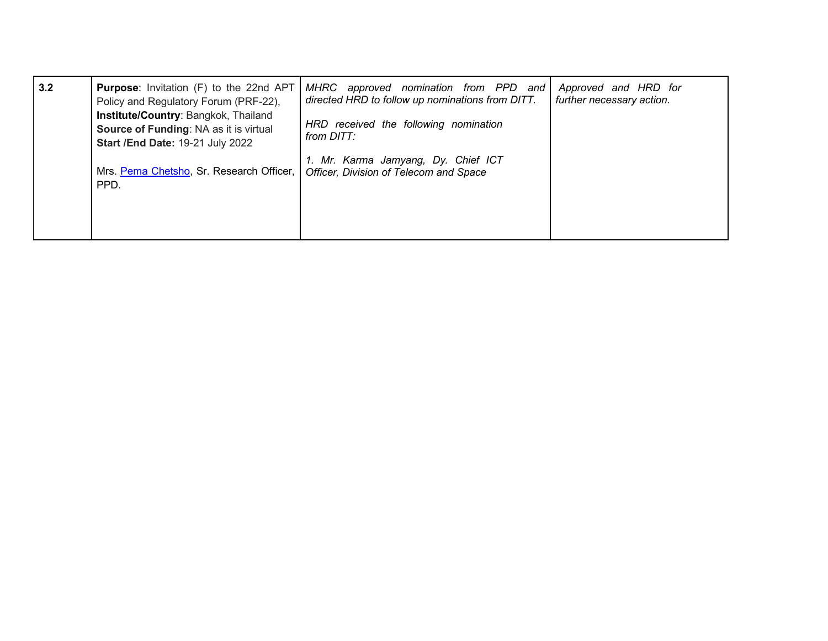| 3.2 | <b>Purpose:</b> Invitation (F) to the 22nd APT<br>Policy and Regulatory Forum (PRF-22),<br>Institute/Country: Bangkok, Thailand<br><b>Source of Funding: NA as it is virtual</b><br><b>Start /End Date: 19-21 July 2022</b> | approved nomination from PPD and<br>MHRC<br>directed HRD to follow up nominations from DITT.<br>HRD received the following nomination<br>from DITT: | Approved and HRD for<br>further necessary action. |
|-----|-----------------------------------------------------------------------------------------------------------------------------------------------------------------------------------------------------------------------------|-----------------------------------------------------------------------------------------------------------------------------------------------------|---------------------------------------------------|
|     | Mrs. Pema Chetsho, Sr. Research Officer,<br>PPD.                                                                                                                                                                            | 1. Mr. Karma Jamyang, Dy. Chief ICT<br>Officer, Division of Telecom and Space                                                                       |                                                   |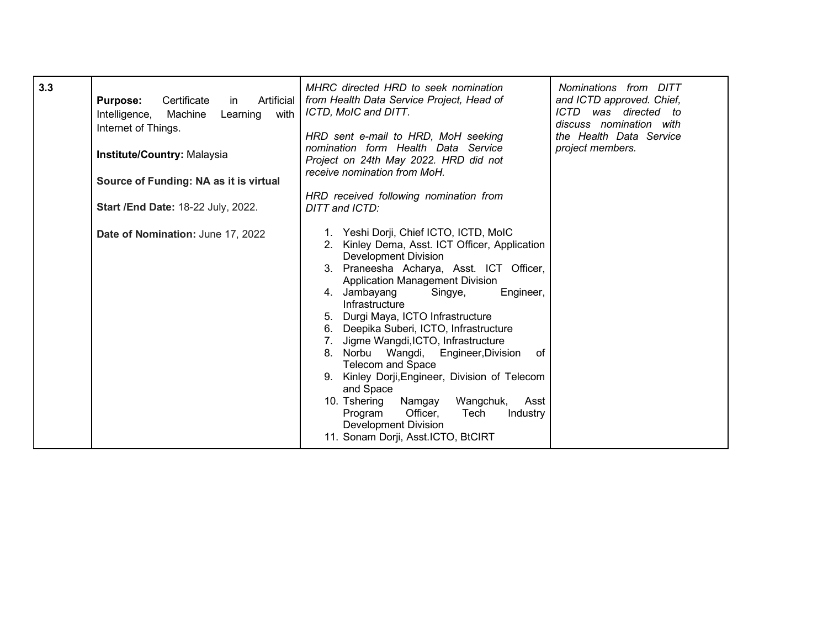| 3.3 | Certificate<br>Artificial<br><b>Purpose:</b><br>in<br>with<br>Machine<br>Learning<br>Intelligence,<br>Internet of Things.<br>Institute/Country: Malaysia<br>Source of Funding: NA as it is virtual<br>Start / End Date: 18-22 July, 2022.<br>Date of Nomination: June 17, 2022 | MHRC directed HRD to seek nomination<br>from Health Data Service Project, Head of<br>ICTD, MoIC and DITT.<br>HRD sent e-mail to HRD, MoH seeking<br>nomination form Health Data Service<br>Project on 24th May 2022. HRD did not<br>receive nomination from MoH.<br>HRD received following nomination from<br>DITT and ICTD:<br>1. Yeshi Dorji, Chief ICTO, ICTD, MoIC<br>2. Kinley Dema, Asst. ICT Officer, Application<br><b>Development Division</b><br>3. Praneesha Acharya, Asst. ICT Officer,<br><b>Application Management Division</b><br>4. Jambayang<br>Engineer,<br>Singye, | Nominations from DITT<br>and ICTD approved. Chief,<br>ICTD was directed to<br>discuss nomination with<br>the Health Data Service<br>project members. |
|-----|--------------------------------------------------------------------------------------------------------------------------------------------------------------------------------------------------------------------------------------------------------------------------------|---------------------------------------------------------------------------------------------------------------------------------------------------------------------------------------------------------------------------------------------------------------------------------------------------------------------------------------------------------------------------------------------------------------------------------------------------------------------------------------------------------------------------------------------------------------------------------------|------------------------------------------------------------------------------------------------------------------------------------------------------|
|     |                                                                                                                                                                                                                                                                                | Infrastructure<br>5. Durgi Maya, ICTO Infrastructure<br>6. Deepika Suberi, ICTO, Infrastructure<br>7. Jigme Wangdi, ICTO, Infrastructure<br>8. Norbu Wangdi,<br>Engineer, Division<br>0f<br><b>Telecom and Space</b><br>9. Kinley Dorji, Engineer, Division of Telecom<br>and Space<br>Namgay<br>Wangchuk,<br>10. Tshering<br>Asst<br>Program<br>Officer,<br>Industry<br>Tech<br><b>Development Division</b><br>11. Sonam Dorji, Asst.ICTO, BtCIRT                                                                                                                                    |                                                                                                                                                      |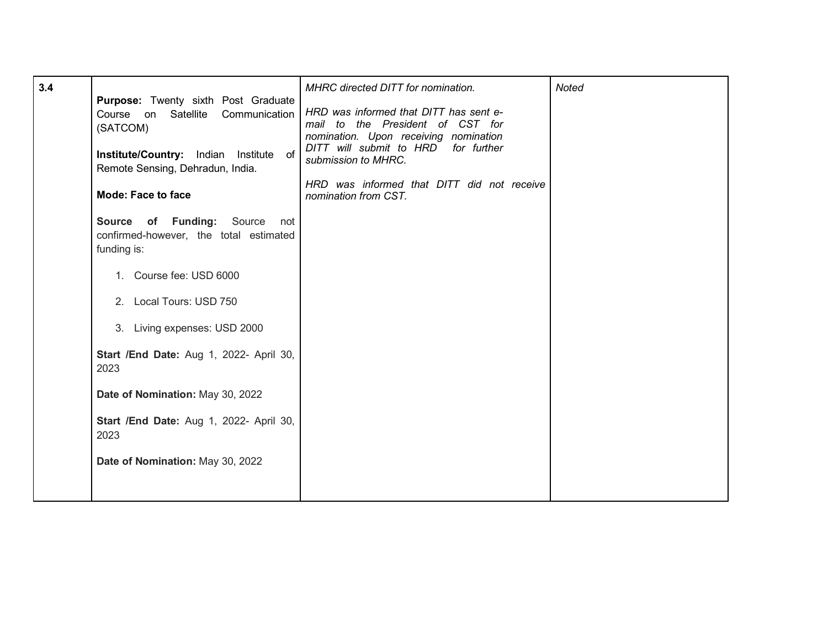| 3.4 |                                                                                           | MHRC directed DITT for nomination.                                                                                                                         | <b>Noted</b> |
|-----|-------------------------------------------------------------------------------------------|------------------------------------------------------------------------------------------------------------------------------------------------------------|--------------|
|     | Purpose: Twenty sixth Post Graduate<br>Course on Satellite Communication<br>(SATCOM)      | HRD was informed that DITT has sent e-<br>mail to the President of CST for<br>nomination. Upon receiving nomination<br>DITT will submit to HRD for further |              |
|     | Institute/Country: Indian Institute of<br>Remote Sensing, Dehradun, India.                | submission to MHRC.                                                                                                                                        |              |
|     | <b>Mode: Face to face</b>                                                                 | HRD was informed that DITT did not receive<br>nomination from CST.                                                                                         |              |
|     | Source of Funding: Source<br>not<br>confirmed-however, the total estimated<br>funding is: |                                                                                                                                                            |              |
|     | 1. Course fee: USD 6000                                                                   |                                                                                                                                                            |              |
|     | 2. Local Tours: USD 750                                                                   |                                                                                                                                                            |              |
|     | 3. Living expenses: USD 2000                                                              |                                                                                                                                                            |              |
|     | Start /End Date: Aug 1, 2022- April 30,<br>2023                                           |                                                                                                                                                            |              |
|     | Date of Nomination: May 30, 2022                                                          |                                                                                                                                                            |              |
|     | Start /End Date: Aug 1, 2022- April 30,<br>2023                                           |                                                                                                                                                            |              |
|     | Date of Nomination: May 30, 2022                                                          |                                                                                                                                                            |              |
|     |                                                                                           |                                                                                                                                                            |              |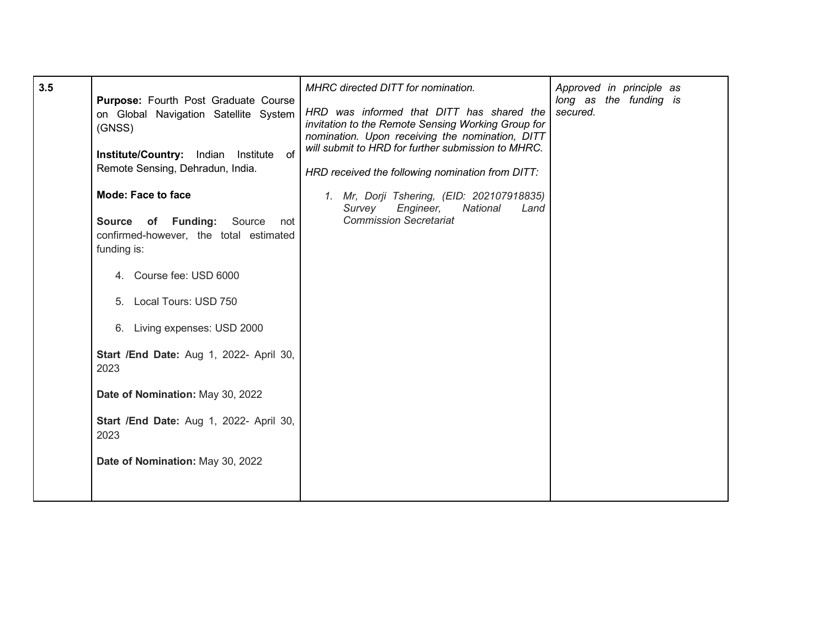| HRD was informed that DITT has shared the<br>secured.<br>on Global Navigation Satellite System<br>invitation to the Remote Sensing Working Group for<br>(GNSS)<br>nomination. Upon receiving the nomination, DITT<br>will submit to HRD for further submission to MHRC.<br>Institute/Country: Indian Institute<br>of<br>Remote Sensing, Dehradun, India.<br>HRD received the following nomination from DITT:<br><b>Mode: Face to face</b><br>1. Mr, Dorji Tshering, (EID: 202107918835)<br>Survey<br>Engineer,<br>National<br>Land<br><b>Commission Secretariat</b><br><b>Source of Funding:</b> Source<br>not<br>confirmed-however, the total estimated<br>funding is:<br>4. Course fee: USD 6000<br>5. Local Tours: USD 750<br>6. Living expenses: USD 2000<br><b>Start /End Date: Aug 1, 2022- April 30,</b><br>2023<br>Date of Nomination: May 30, 2022<br>Start /End Date: Aug 1, 2022- April 30,<br>2023<br>Date of Nomination: May 30, 2022 | 3.5 | Purpose: Fourth Post Graduate Course | MHRC directed DITT for nomination. | Approved in principle as<br>long as the funding is |
|----------------------------------------------------------------------------------------------------------------------------------------------------------------------------------------------------------------------------------------------------------------------------------------------------------------------------------------------------------------------------------------------------------------------------------------------------------------------------------------------------------------------------------------------------------------------------------------------------------------------------------------------------------------------------------------------------------------------------------------------------------------------------------------------------------------------------------------------------------------------------------------------------------------------------------------------------|-----|--------------------------------------|------------------------------------|----------------------------------------------------|
|----------------------------------------------------------------------------------------------------------------------------------------------------------------------------------------------------------------------------------------------------------------------------------------------------------------------------------------------------------------------------------------------------------------------------------------------------------------------------------------------------------------------------------------------------------------------------------------------------------------------------------------------------------------------------------------------------------------------------------------------------------------------------------------------------------------------------------------------------------------------------------------------------------------------------------------------------|-----|--------------------------------------|------------------------------------|----------------------------------------------------|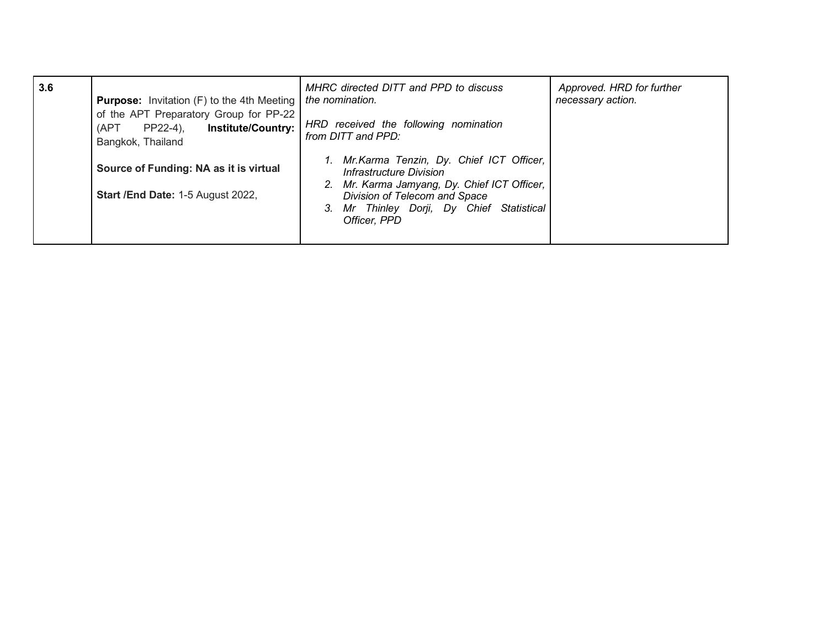| 3.6 | <b>Purpose:</b> Invitation (F) to the 4th Meeting                                                            | MHRC directed DITT and PPD to discuss<br>the nomination.                                                               | Approved. HRD for further<br>necessary action. |
|-----|--------------------------------------------------------------------------------------------------------------|------------------------------------------------------------------------------------------------------------------------|------------------------------------------------|
|     | of the APT Preparatory Group for PP-22<br><b>Institute/Country:</b><br>PP22-4),<br>(APT<br>Bangkok, Thailand | HRD received the following nomination<br>from DITT and PPD:                                                            |                                                |
|     | Source of Funding: NA as it is virtual                                                                       | 1. Mr. Karma Tenzin, Dy. Chief ICT Officer,<br>Infrastructure Division<br>2. Mr. Karma Jamyang, Dy. Chief ICT Officer, |                                                |
|     | Start / End Date: 1-5 August 2022,                                                                           | Division of Telecom and Space<br>3. Mr Thinley Dorji, Dy Chief Statistical<br>Officer, PPD                             |                                                |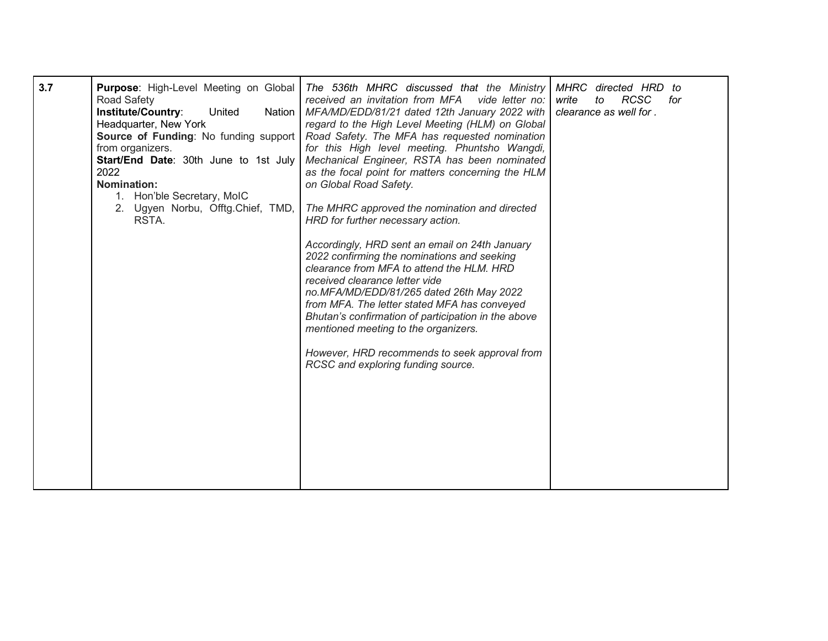| 3.7 | Purpose: High-Level Meeting on Global<br><b>Road Safety</b><br>United<br>Institute/Country:<br>Nation<br>Headquarter, New York<br>from organizers.<br>Start/End Date: 30th June to 1st July<br>2022<br><b>Nomination:</b><br>1. Hon'ble Secretary, MoIC<br>2. Ugyen Norbu, Offtg.Chief, TMD,<br>RSTA. | The 536th MHRC discussed that the Ministry<br>received an invitation from MFA<br>vide letter no:<br>MFA/MD/EDD/81/21 dated 12th January 2022 with<br>regard to the High Level Meeting (HLM) on Global<br><b>Source of Funding:</b> No funding support   Road Safety. The MFA has requested nomination<br>for this High level meeting. Phuntsho Wangdi,<br>Mechanical Engineer, RSTA has been nominated<br>as the focal point for matters concerning the HLM<br>on Global Road Safety.<br>The MHRC approved the nomination and directed<br>HRD for further necessary action.<br>Accordingly, HRD sent an email on 24th January<br>2022 confirming the nominations and seeking<br>clearance from MFA to attend the HLM. HRD<br>received clearance letter vide<br>no.MFA/MD/EDD/81/265 dated 26th May 2022<br>from MFA. The letter stated MFA has conveyed<br>Bhutan's confirmation of participation in the above<br>mentioned meeting to the organizers.<br>However, HRD recommends to seek approval from<br>RCSC and exploring funding source. | MHRC directed HRD<br>to<br><b>RCSC</b><br>write<br>to<br>for<br>clearance as well for. |
|-----|-------------------------------------------------------------------------------------------------------------------------------------------------------------------------------------------------------------------------------------------------------------------------------------------------------|-----------------------------------------------------------------------------------------------------------------------------------------------------------------------------------------------------------------------------------------------------------------------------------------------------------------------------------------------------------------------------------------------------------------------------------------------------------------------------------------------------------------------------------------------------------------------------------------------------------------------------------------------------------------------------------------------------------------------------------------------------------------------------------------------------------------------------------------------------------------------------------------------------------------------------------------------------------------------------------------------------------------------------------------------|----------------------------------------------------------------------------------------|
|-----|-------------------------------------------------------------------------------------------------------------------------------------------------------------------------------------------------------------------------------------------------------------------------------------------------------|-----------------------------------------------------------------------------------------------------------------------------------------------------------------------------------------------------------------------------------------------------------------------------------------------------------------------------------------------------------------------------------------------------------------------------------------------------------------------------------------------------------------------------------------------------------------------------------------------------------------------------------------------------------------------------------------------------------------------------------------------------------------------------------------------------------------------------------------------------------------------------------------------------------------------------------------------------------------------------------------------------------------------------------------------|----------------------------------------------------------------------------------------|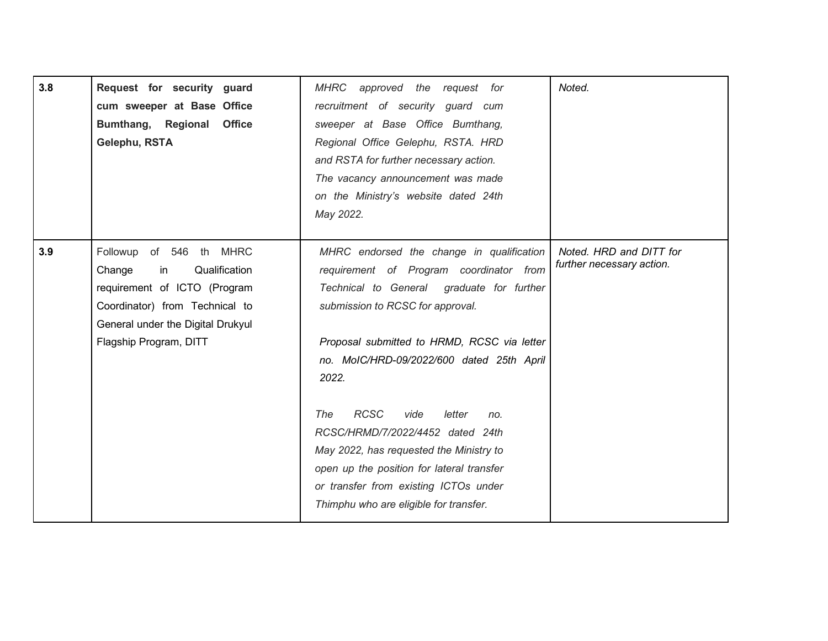| 3.8 | Request for security guard<br>cum sweeper at Base Office<br>Bumthang, Regional Office<br>Gelephu, RSTA                                                                                    | MHRC approved the request for<br>recruitment of security guard cum<br>sweeper at Base Office Bumthang,<br>Regional Office Gelephu, RSTA. HRD<br>and RSTA for further necessary action.<br>The vacancy announcement was made<br>on the Ministry's website dated 24th<br>May 2022.                                                                                                                                                                                                                                                         | Noted.                                               |
|-----|-------------------------------------------------------------------------------------------------------------------------------------------------------------------------------------------|------------------------------------------------------------------------------------------------------------------------------------------------------------------------------------------------------------------------------------------------------------------------------------------------------------------------------------------------------------------------------------------------------------------------------------------------------------------------------------------------------------------------------------------|------------------------------------------------------|
| 3.9 | Followup of 546 th MHRC<br>Qualification<br>Change<br>in<br>requirement of ICTO (Program<br>Coordinator) from Technical to<br>General under the Digital Drukyul<br>Flagship Program, DITT | MHRC endorsed the change in qualification<br>requirement of Program coordinator from<br>Technical to General graduate for further<br>submission to RCSC for approval.<br>Proposal submitted to HRMD, RCSC via letter<br>no. MoIC/HRD-09/2022/600 dated 25th April<br>2022.<br><b>RCSC</b><br>The<br>vide<br>letter<br>no.<br>RCSC/HRMD/7/2022/4452 dated 24th<br>May 2022, has requested the Ministry to<br>open up the position for lateral transfer<br>or transfer from existing ICTOs under<br>Thimphu who are eligible for transfer. | Noted. HRD and DITT for<br>further necessary action. |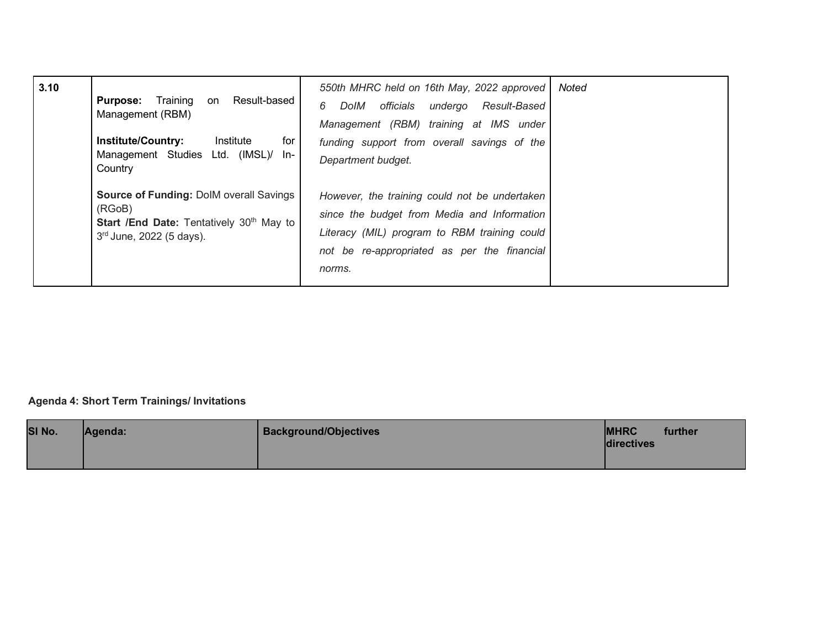| 3.10 | Training<br>Result-based<br><b>Purpose:</b><br>on<br>Management (RBM)<br><b>Institute/Country:</b><br>Institute<br>for<br>Management Studies Ltd. (IMSL)/ In-<br>Country | 550th MHRC held on 16th May, 2022 approved<br>officials undergo<br>Result-Based<br>6<br>DoIM<br>Management (RBM) training at IMS under<br>funding support from overall savings of the<br>Department budget. | Noted |
|------|--------------------------------------------------------------------------------------------------------------------------------------------------------------------------|-------------------------------------------------------------------------------------------------------------------------------------------------------------------------------------------------------------|-------|
|      | Source of Funding: DolM overall Savings<br>(RGoB)<br>Start /End Date: Tentatively 30 <sup>th</sup> May to<br>$3rd$ June, 2022 (5 days).                                  | However, the training could not be undertaken<br>since the budget from Media and Information<br>Literacy (MIL) program to RBM training could<br>not be re-appropriated as per the financial<br>norms.       |       |

## **Agenda 4: Short Term Trainings/ Invitations**

| SI No. | Agenda: | <b>Background/Objectives</b> | <b>MHRC</b><br>directives | further |
|--------|---------|------------------------------|---------------------------|---------|
|        |         |                              |                           |         |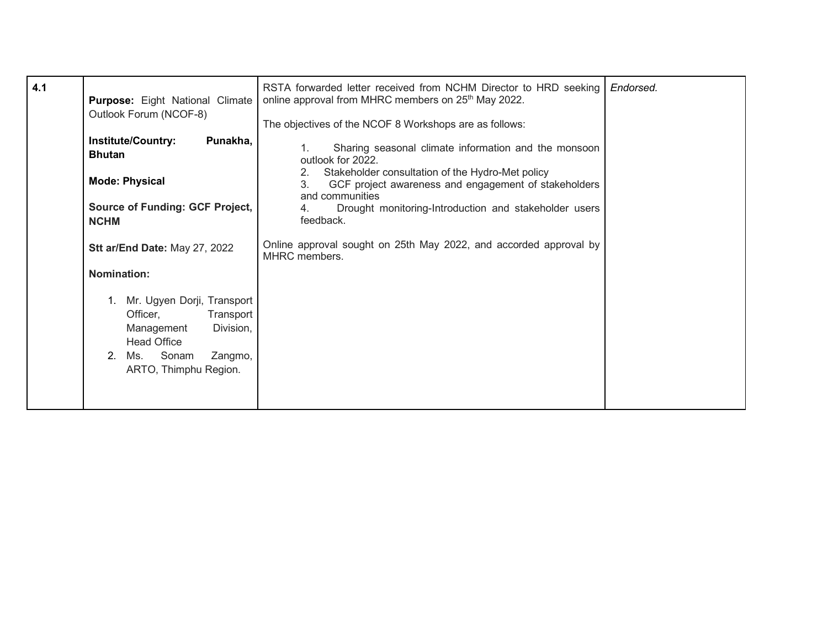| 4.1 | Purpose: Eight National Climate<br>Outlook Forum (NCOF-8)                                                                                                      | RSTA forwarded letter received from NCHM Director to HRD seeking<br>online approval from MHRC members on 25 <sup>th</sup> May 2022.<br>The objectives of the NCOF 8 Workshops are as follows: | Endorsed. |
|-----|----------------------------------------------------------------------------------------------------------------------------------------------------------------|-----------------------------------------------------------------------------------------------------------------------------------------------------------------------------------------------|-----------|
|     | <b>Institute/Country:</b><br>Punakha,<br><b>Bhutan</b>                                                                                                         | Sharing seasonal climate information and the monsoon<br>1 <sub>1</sub><br>outlook for 2022.<br>Stakeholder consultation of the Hydro-Met policy<br>2.                                         |           |
|     | <b>Mode: Physical</b><br>Source of Funding: GCF Project,<br><b>NCHM</b>                                                                                        | GCF project awareness and engagement of stakeholders<br>3.<br>and communities<br>Drought monitoring-Introduction and stakeholder users<br>4.<br>feedback.                                     |           |
|     | Stt ar/End Date: May 27, 2022                                                                                                                                  | Online approval sought on 25th May 2022, and accorded approval by<br>MHRC members.                                                                                                            |           |
|     | <b>Nomination:</b>                                                                                                                                             |                                                                                                                                                                                               |           |
|     | Mr. Ugyen Dorji, Transport<br>Officer,<br>Transport<br>Division,<br>Management<br><b>Head Office</b><br>2.<br>Sonam<br>Ms.<br>Zangmo,<br>ARTO, Thimphu Region. |                                                                                                                                                                                               |           |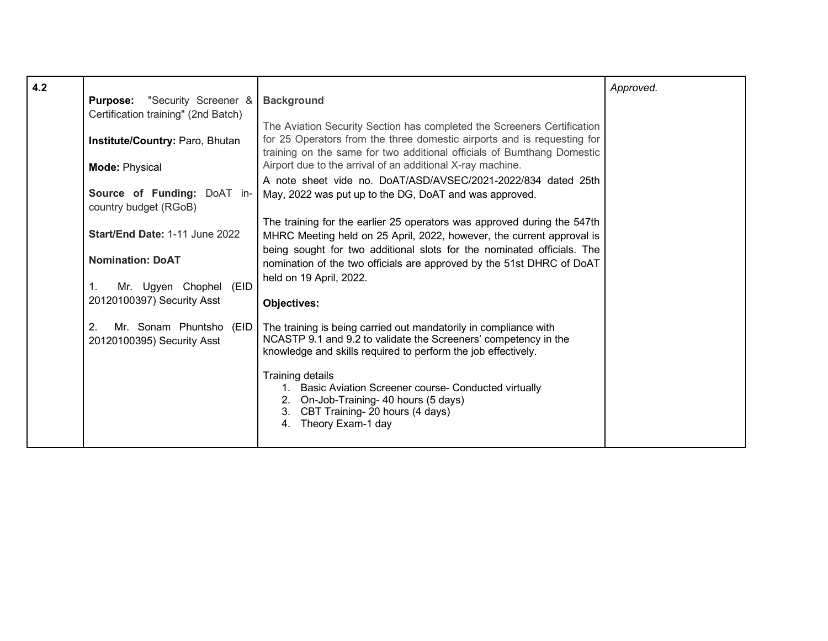| 4.2 | <b>Purpose:</b> "Security Screener &<br>Certification training" (2nd Batch)<br>Institute/Country: Paro, Bhutan<br><b>Mode: Physical</b><br>Source of Funding: DoAT in-<br>country budget (RGoB)<br>Start/End Date: 1-11 June 2022 | <b>Background</b><br>The Aviation Security Section has completed the Screeners Certification<br>for 25 Operators from the three domestic airports and is requesting for<br>training on the same for two additional officials of Bumthang Domestic<br>Airport due to the arrival of an additional X-ray machine.<br>A note sheet vide no. DoAT/ASD/AVSEC/2021-2022/834 dated 25th<br>May, 2022 was put up to the DG, DoAT and was approved.<br>The training for the earlier 25 operators was approved during the 547th<br>MHRC Meeting held on 25 April, 2022, however, the current approval is | Approved. |
|-----|-----------------------------------------------------------------------------------------------------------------------------------------------------------------------------------------------------------------------------------|------------------------------------------------------------------------------------------------------------------------------------------------------------------------------------------------------------------------------------------------------------------------------------------------------------------------------------------------------------------------------------------------------------------------------------------------------------------------------------------------------------------------------------------------------------------------------------------------|-----------|
|     | <b>Nomination: DoAT</b><br>Mr. Ugyen Chophel<br>(EID<br>1.<br>20120100397) Security Asst                                                                                                                                          | being sought for two additional slots for the nominated officials. The<br>nomination of the two officials are approved by the 51st DHRC of DoAT<br>held on 19 April, 2022.<br><b>Objectives:</b>                                                                                                                                                                                                                                                                                                                                                                                               |           |
|     | 2.<br>Mr. Sonam Phuntsho<br>(EID<br>20120100395) Security Asst                                                                                                                                                                    | The training is being carried out mandatorily in compliance with<br>NCASTP 9.1 and 9.2 to validate the Screeners' competency in the<br>knowledge and skills required to perform the job effectively.<br>Training details<br>1. Basic Aviation Screener course- Conducted virtually<br>2. On-Job-Training- 40 hours (5 days)<br>3. CBT Training- 20 hours (4 days)<br>Theory Exam-1 day<br>4.                                                                                                                                                                                                   |           |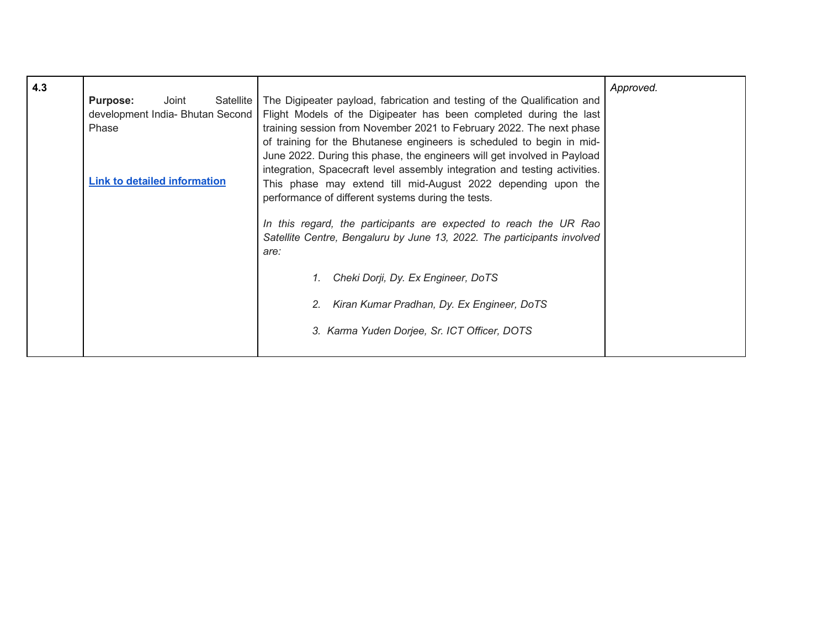| 4.3 | Joint<br>Satellite<br><b>Purpose:</b><br>development India- Bhutan Second<br>Phase | The Digipeater payload, fabrication and testing of the Qualification and<br>Flight Models of the Digipeater has been completed during the last<br>training session from November 2021 to February 2022. The next phase<br>of training for the Bhutanese engineers is scheduled to begin in mid-<br>June 2022. During this phase, the engineers will get involved in Payload                                                                                                                         | Approved. |
|-----|------------------------------------------------------------------------------------|-----------------------------------------------------------------------------------------------------------------------------------------------------------------------------------------------------------------------------------------------------------------------------------------------------------------------------------------------------------------------------------------------------------------------------------------------------------------------------------------------------|-----------|
|     | <b>Link to detailed information</b>                                                | integration, Spacecraft level assembly integration and testing activities.<br>This phase may extend till mid-August 2022 depending upon the<br>performance of different systems during the tests.<br>In this regard, the participants are expected to reach the UR Rao<br>Satellite Centre, Bengaluru by June 13, 2022. The participants involved<br>are:<br>Cheki Dorji, Dy. Ex Engineer, DoTS<br>Kiran Kumar Pradhan, Dy. Ex Engineer, DoTS<br>2.<br>3. Karma Yuden Dorjee, Sr. ICT Officer, DOTS |           |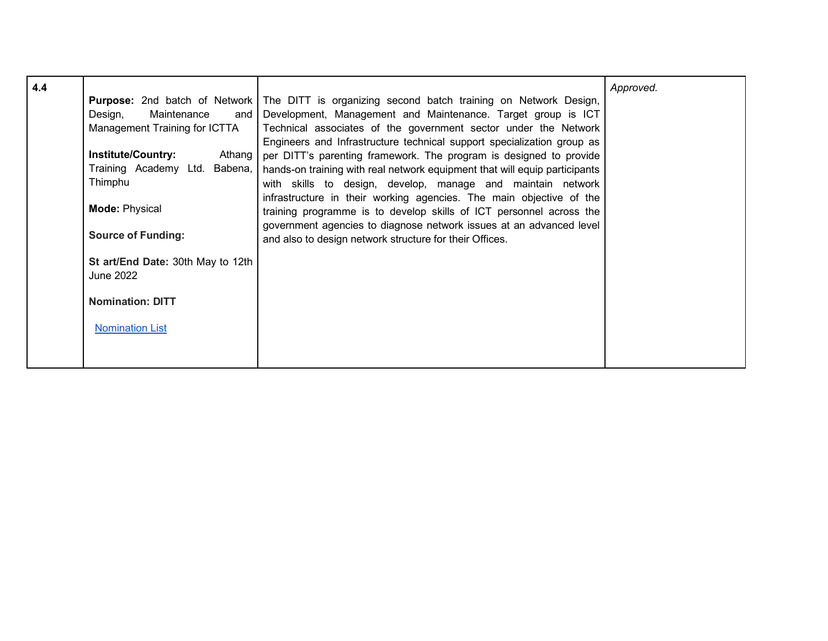| 4.4 |                                     |                                                                                                      | Approved. |
|-----|-------------------------------------|------------------------------------------------------------------------------------------------------|-----------|
|     |                                     | <b>Purpose:</b> 2nd batch of Network The DITT is organizing second batch training on Network Design, |           |
|     | Design,<br>Maintenance<br>and       | Development, Management and Maintenance. Target group is ICT                                         |           |
|     | Management Training for ICTTA       | Technical associates of the government sector under the Network                                      |           |
|     |                                     | Engineers and Infrastructure technical support specialization group as                               |           |
|     | <b>Institute/Country:</b><br>Athang | per DITT's parenting framework. The program is designed to provide                                   |           |
|     | Training Academy Ltd. Babena,       | hands-on training with real network equipment that will equip participants                           |           |
|     | Thimphu                             | with skills to design, develop, manage and maintain network                                          |           |
|     |                                     | infrastructure in their working agencies. The main objective of the                                  |           |
|     | <b>Mode: Physical</b>               | training programme is to develop skills of ICT personnel across the                                  |           |
|     |                                     | government agencies to diagnose network issues at an advanced level                                  |           |
|     | <b>Source of Funding:</b>           | and also to design network structure for their Offices.                                              |           |
|     | St art/End Date: 30th May to 12th   |                                                                                                      |           |
|     | June 2022                           |                                                                                                      |           |
|     |                                     |                                                                                                      |           |
|     | <b>Nomination: DITT</b>             |                                                                                                      |           |
|     | <b>Nomination List</b>              |                                                                                                      |           |
|     |                                     |                                                                                                      |           |
|     |                                     |                                                                                                      |           |
|     |                                     |                                                                                                      |           |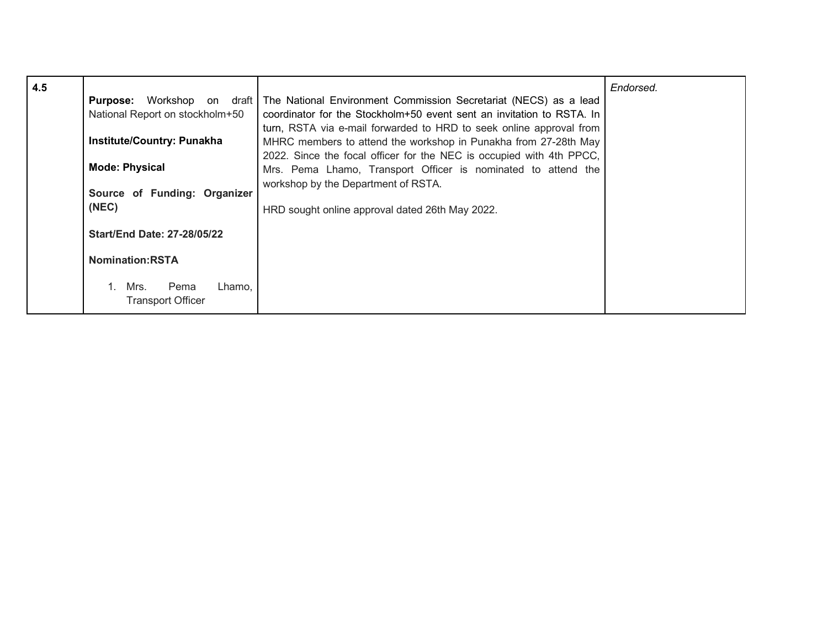| 4.5 | National Report on stockholm+50<br><b>Institute/Country: Punakha</b><br><b>Mode: Physical</b><br>Source of Funding: Organizer<br>(NEC) | <b>Purpose:</b> Workshop on draft The National Environment Commission Secretariat (NECS) as a lead<br>coordinator for the Stockholm+50 event sent an invitation to RSTA. In<br>turn, RSTA via e-mail forwarded to HRD to seek online approval from<br>MHRC members to attend the workshop in Punakha from 27-28th May<br>2022. Since the focal officer for the NEC is occupied with 4th PPCC,<br>Mrs. Pema Lhamo, Transport Officer is nominated to attend the<br>workshop by the Department of RSTA.<br>HRD sought online approval dated 26th May 2022. | Endorsed. |
|-----|----------------------------------------------------------------------------------------------------------------------------------------|----------------------------------------------------------------------------------------------------------------------------------------------------------------------------------------------------------------------------------------------------------------------------------------------------------------------------------------------------------------------------------------------------------------------------------------------------------------------------------------------------------------------------------------------------------|-----------|
|     | <b>Start/End Date: 27-28/05/22</b><br><b>Nomination:RSTA</b>                                                                           |                                                                                                                                                                                                                                                                                                                                                                                                                                                                                                                                                          |           |
|     | 1. Mrs.<br>Pema<br>Lhamo.<br><b>Transport Officer</b>                                                                                  |                                                                                                                                                                                                                                                                                                                                                                                                                                                                                                                                                          |           |